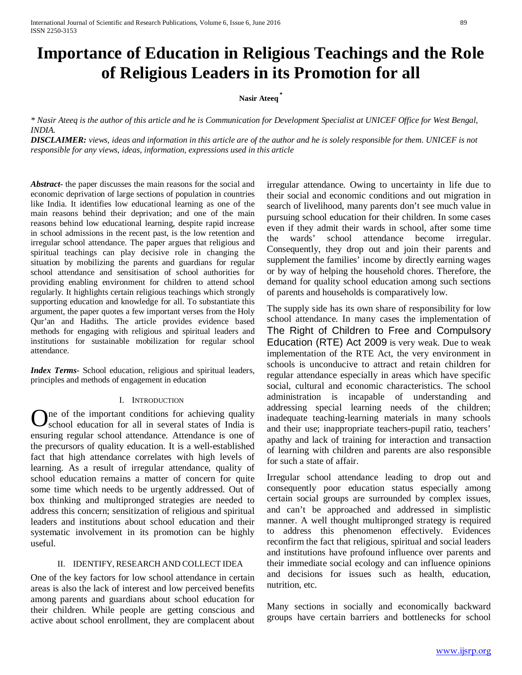# **Importance of Education in Religious Teachings and the Role of Religious Leaders in its Promotion for all**

# **Nasir Ateeq \***

*\* Nasir Ateeq is the author of this article and he is Communication for Development Specialist at UNICEF Office for West Bengal, INDIA.* 

*DISCLAIMER: views, ideas and information in this article are of the author and he is solely responsible for them. UNICEF is not responsible for any views, ideas, information, expressions used in this article*

*Abstract***-** the paper discusses the main reasons for the social and economic deprivation of large sections of population in countries like India. It identifies low educational learning as one of the main reasons behind their deprivation; and one of the main reasons behind low educational learning, despite rapid increase in school admissions in the recent past, is the low retention and irregular school attendance. The paper argues that religious and spiritual teachings can play decisive role in changing the situation by mobilizing the parents and guardians for regular school attendance and sensitisation of school authorities for providing enabling environment for children to attend school regularly. It highlights certain religious teachings which strongly supporting education and knowledge for all. To substantiate this argument, the paper quotes a few important verses from the Holy Qur'an and Hadiths. The article provides evidence based methods for engaging with religious and spiritual leaders and institutions for sustainable mobilization for regular school attendance.

*Index Terms*- School education, religious and spiritual leaders, principles and methods of engagement in education

## I. INTRODUCTION

ne of the important conditions for achieving quality  $\mathbf{O}$  are of the important conditions for achieving quality school education for all in several states of India is ensuring regular school attendance. Attendance is one of the precursors of quality education. It is a well-established fact that high attendance correlates with high levels of learning. As a result of irregular attendance, quality of school education remains a matter of concern for quite some time which needs to be urgently addressed. Out of box thinking and multipronged strategies are needed to address this concern; sensitization of religious and spiritual leaders and institutions about school education and their systematic involvement in its promotion can be highly useful.

## II. IDENTIFY, RESEARCH AND COLLECT IDEA

<span id="page-0-0"></span>One of the key factors for low school attendance in certain areas is also the lack of interest and low perceived benefits among parents and guardians about school education for their children. While people are getting conscious and active about school enrollment, they are complacent about irregular attendance. Owing to uncertainty in life due to their social and economic conditions and out migration in search of livelihood, many parents don't see much value in pursuing school education for their children. In some cases even if they admit their wards in school, after some time the wards' school attendance become irregular. Consequently, they drop out and join their parents and supplement the families' income by directly earning wages or by way of helping the household chores. Therefore, the demand for quality school education among such sections of parents and households is comparatively low.

The supply side has its own share of responsibility for low school attendance. In many cases the implementation of The Right of Children to Free and Compulsory Education (RTE) Act 2009 is very weak. Due to weak implementation of the RTE Act, the very environment in schools is unconducive to attract and retain children for regular attendance especially in areas which have specific social, cultural and economic characteristics. The school administration is incapable of understanding and addressing special learning needs of the children; inadequate teaching-learning materials in many schools and their use; inappropriate teachers-pupil ratio, teachers' apathy and lack of training for interaction and transaction of learning with children and parents are also responsible for such a state of affair.

Irregular school attendance leading to drop out and consequently poor education status especially among certain social groups are surrounded by complex issues, and can't be approached and addressed in simplistic manner. A well thought multipronged strategy is required to address this phenomenon effectively. Evidences reconfirm the fact that religious, spiritual and social leaders and institutions have profound influence over parents and their immediate social ecology and can influence opinions and decisions for issues such as health, education, nutrition, etc.

Many sections in socially and economically backward groups have certain barriers and bottlenecks for school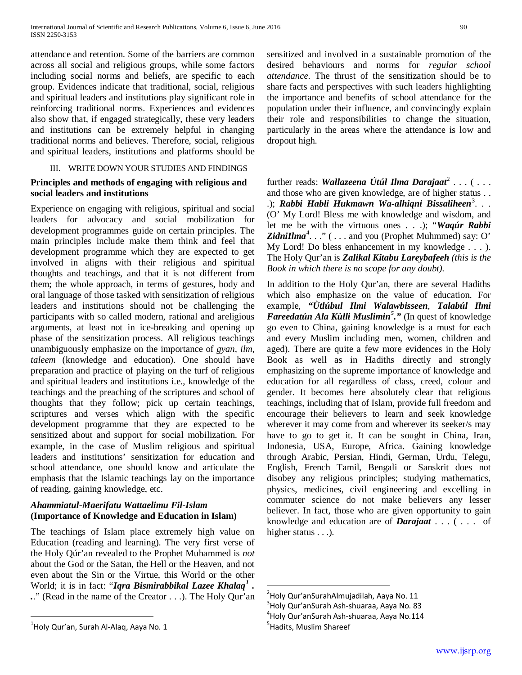attendance and retention. Some of the barriers are common across all social and religious groups, while some factors including social norms and beliefs, are specific to each group. Evidences indicate that traditional, social, religious and spiritual leaders and institutions play significant role in reinforcing traditional norms. Experiences and evidences also show that, if engaged strategically, these very leaders and institutions can be extremely helpful in changing traditional norms and believes. Therefore, social, religious and spiritual leaders, institutions and platforms should be

# III. WRITE DOWN YOUR STUDIES AND FINDINGS

# **Principles and methods of engaging with religious and social leaders and institutions**

Experience on engaging with religious, spiritual and social leaders for advocacy and social mobilization for development programmes guide on certain principles. The main principles include make them think and feel that development programme which they are expected to get involved in aligns with their religious and spiritual thoughts and teachings, and that it is not different from them; the whole approach, in terms of gestures, body and oral language of those tasked with sensitization of religious leaders and institutions should not be challenging the participants with so called modern, rational and areligious arguments, at least not in ice-breaking and opening up phase of the sensitization process. All religious teachings unambiguously emphasize on the importance of *gyan, ilm, taleem* (knowledge and education). One should have preparation and practice of playing on the turf of religious and spiritual leaders and institutions i.e., knowledge of the teachings and the preaching of the scriptures and school of thoughts that they follow; pick up certain teachings, scriptures and verses which align with the specific development programme that they are expected to be sensitized about and support for social mobilization. For example, in the case of Muslim religious and spiritual leaders and institutions' sensitization for education and school attendance, one should know and articulate the emphasis that the Islamic teachings lay on the importance of reading, gaining knowledge, etc.

# *Ahammiatul-Maerifatu Wattaelimu Fil-Islam*  **(Importance of Knowledge and Education in Islam)**

The teachings of Islam place extremely high value on Education (reading and learning). The very first verse of the Holy Qúr'an revealed to the Prophet Muhammed is *not* about the God or the Satan, the Hell or the Heaven, and not even about the Sin or the Virtue, this World or the other World; it is in fact: "*Iqra Bismirabbikal Lazee Khalaq[1](#page-0-0) . .*." (Read in the name of the Creator . . .). The Holy Qur'an sensitized and involved in a sustainable promotion of the desired behaviours and norms for *regular school attendance*. The thrust of the sensitization should be to share facts and perspectives with such leaders highlighting the importance and benefits of school attendance for the population under their influence, and convincingly explain their role and responsibilities to change the situation, particularly in the areas where the attendance is low and dropout high.

further reads: *Wallazeena Útúl Ilma Darajaat*<sup>[2](#page-1-0)</sup>... (... and those who are given knowledge, are of higher status . . .); Rabbi Habli Hukmawn Wa-alhiqni Bissaliheen<sup>[3](#page-1-1)</sup>... (O' My Lord! Bless me with knowledge and wisdom, and let me be with the virtuous ones . . .); "*Waqúr Rabbi*  ZidniIlma<sup>[4](#page-1-2)</sup>..." (... and you (Prophet Muhmmed) say: O' My Lord! Do bless enhancement in my knowledge . . . ). The Holy Qur'an is *Zalikal Kitabu Lareybafeeh (this is the Book in which there is no scope for any doubt).*

In addition to the Holy Qur'an, there are several Hadiths which also emphasize on the value of education. For example, *"Ùtlúbul Ilmi Walawbisseen*, *Talabúl Ilmi Fareedatún Ala Kùlli Muslimin[5](#page-1-3) ."* (In quest of knowledge go even to China, gaining knowledge is a must for each and every Muslim including men, women, children and aged). There are quite a few more evidences in the Holy Book as well as in Hadiths directly and strongly emphasizing on the supreme importance of knowledge and education for all regardless of class, creed, colour and gender. It becomes here absolutely clear that religious teachings, including that of Islam, provide full freedom and encourage their believers to learn and seek knowledge wherever it may come from and wherever its seeker/s may have to go to get it. It can be sought in China, Iran, Indonesia, USA, Europe, Africa. Gaining knowledge through Arabic, Persian, Hindi, German, Urdu, Telegu, English, French Tamil, Bengali or Sanskrit does not disobey any religious principles; studying mathematics, physics, medicines, civil engineering and excelling in commuter science do not make believers any lesser believer. In fact, those who are given opportunity to gain knowledge and education are of *Darajaat* . . . ( . . . of higher status . . .).

<span id="page-1-3"></span><span id="page-1-2"></span><span id="page-1-1"></span><span id="page-1-0"></span> $\frac{1}{1}$ Holy Qur'an, Surah Al-Alaq, Aaya No. 1

 $\frac{1}{2}$  $\degree$ Holy Qur'anSurahAlmujadilah, Aaya No. 11

 $3$ Holy Qur'anSurah Ash-shuaraa, Aaya No. 83

<sup>&</sup>lt;sup>4</sup>Holy Qur'anSurah Ash-shuaraa, Aaya No.114

<sup>&</sup>lt;sup>5</sup> Hadits, Muslim Shareef